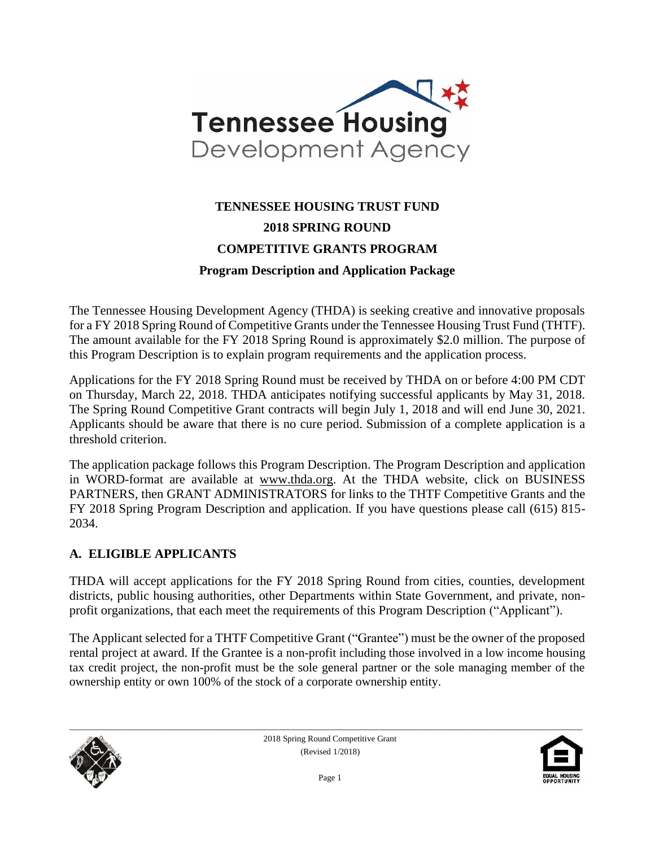

# **TENNESSEE HOUSING TRUST FUND 2018 SPRING ROUND COMPETITIVE GRANTS PROGRAM Program Description and Application Package**

The Tennessee Housing Development Agency (THDA) is seeking creative and innovative proposals for a FY 2018 Spring Round of Competitive Grants under the Tennessee Housing Trust Fund (THTF). The amount available for the FY 2018 Spring Round is approximately \$2.0 million. The purpose of this Program Description is to explain program requirements and the application process.

Applications for the FY 2018 Spring Round must be received by THDA on or before 4:00 PM CDT on Thursday, March 22, 2018. THDA anticipates notifying successful applicants by May 31, 2018. The Spring Round Competitive Grant contracts will begin July 1, 2018 and will end June 30, 2021. Applicants should be aware that there is no cure period. Submission of a complete application is a threshold criterion.

The application package follows this Program Description. The Program Description and application in WORD-format are available at [www.thda.org.](file:///C:/Users/lmiller/AppData/Local/Microsoft/Windows/Documents%20and%20Settings/CHolloway/Local%20Settings/Temporary%20Internet%20Files/Content.Outlook/Local%20Settings/Temporary%20Internet%20Files/Content.Outlook/UYMA8P3Z/www.thda.org) At the THDA website, click on BUSINESS PARTNERS, then GRANT ADMINISTRATORS for links to the THTF Competitive Grants and the FY 2018 Spring Program Description and application. If you have questions please call (615) 815- 2034.

#### **A. ELIGIBLE APPLICANTS**

THDA will accept applications for the FY 2018 Spring Round from cities, counties, development districts, public housing authorities, other Departments within State Government, and private, nonprofit organizations, that each meet the requirements of this Program Description ("Applicant").

The Applicant selected for a THTF Competitive Grant ("Grantee") must be the owner of the proposed rental project at award. If the Grantee is a non-profit including those involved in a low income housing tax credit project, the non-profit must be the sole general partner or the sole managing member of the ownership entity or own 100% of the stock of a corporate ownership entity.



2018 Spring Round Competitive Grant (Revised 1/2018)

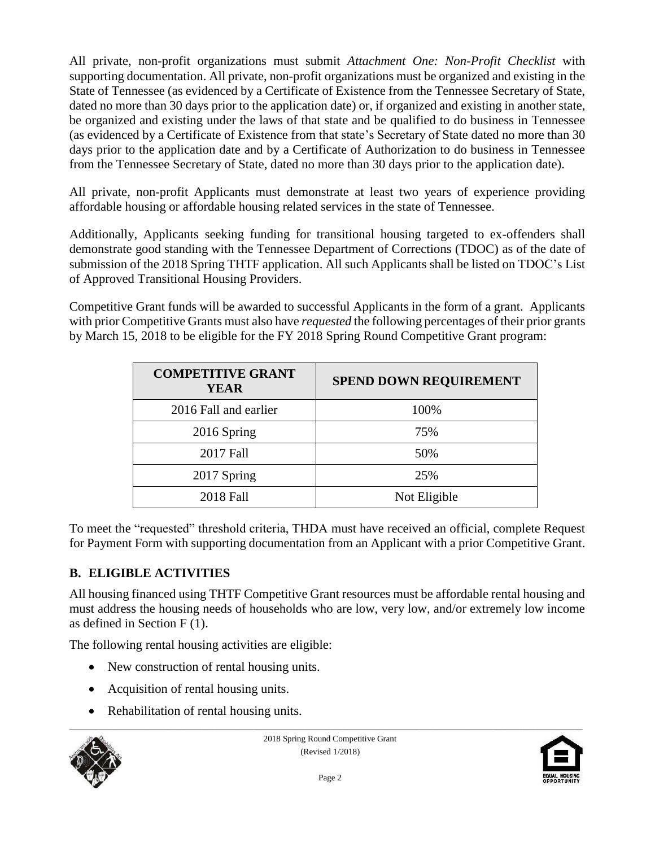All private, non-profit organizations must submit *Attachment One: Non-Profit Checklist* with supporting documentation. All private, non-profit organizations must be organized and existing in the State of Tennessee (as evidenced by a Certificate of Existence from the Tennessee Secretary of State, dated no more than 30 days prior to the application date) or, if organized and existing in another state, be organized and existing under the laws of that state and be qualified to do business in Tennessee (as evidenced by a Certificate of Existence from that state's Secretary of State dated no more than 30 days prior to the application date and by a Certificate of Authorization to do business in Tennessee from the Tennessee Secretary of State, dated no more than 30 days prior to the application date).

All private, non-profit Applicants must demonstrate at least two years of experience providing affordable housing or affordable housing related services in the state of Tennessee.

Additionally, Applicants seeking funding for transitional housing targeted to ex-offenders shall demonstrate good standing with the Tennessee Department of Corrections (TDOC) as of the date of submission of the 2018 Spring THTF application. All such Applicants shall be listed on TDOC's List of Approved Transitional Housing Providers.

Competitive Grant funds will be awarded to successful Applicants in the form of a grant. Applicants with prior Competitive Grants must also have *requested* the following percentages of their prior grants by March 15, 2018 to be eligible for the FY 2018 Spring Round Competitive Grant program:

| <b>COMPETITIVE GRANT</b><br>YEAR | <b>SPEND DOWN REQUIREMENT</b> |  |
|----------------------------------|-------------------------------|--|
| 2016 Fall and earlier            | 100%                          |  |
| 2016 Spring                      | 75%                           |  |
| 2017 Fall                        | 50%                           |  |
| 2017 Spring                      | 25%                           |  |
| 2018 Fall                        | Not Eligible                  |  |

To meet the "requested" threshold criteria, THDA must have received an official, complete Request for Payment Form with supporting documentation from an Applicant with a prior Competitive Grant.

### **B. ELIGIBLE ACTIVITIES**

All housing financed using THTF Competitive Grant resources must be affordable rental housing and must address the housing needs of households who are low, very low, and/or extremely low income as defined in Section  $F(1)$ .

The following rental housing activities are eligible:

- New construction of rental housing units.
- Acquisition of rental housing units.
- Rehabilitation of rental housing units.



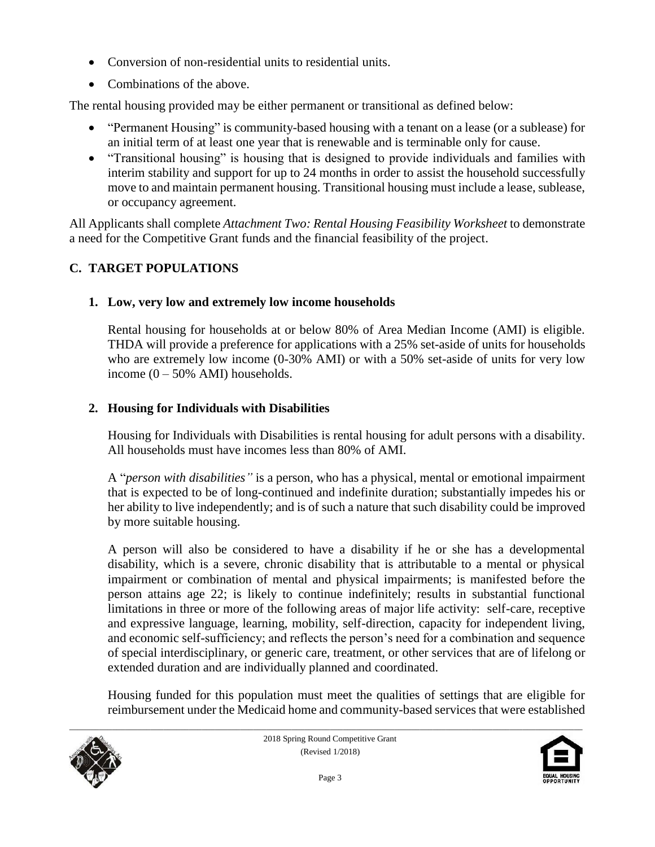- Conversion of non-residential units to residential units.
- Combinations of the above.

The rental housing provided may be either permanent or transitional as defined below:

- "Permanent Housing" is community-based housing with a tenant on a lease (or a sublease) for an initial term of at least one year that is renewable and is terminable only for cause.
- "Transitional housing" is housing that is designed to provide individuals and families with interim stability and support for up to 24 months in order to assist the household successfully move to and maintain permanent housing. Transitional housing must include a lease, sublease, or occupancy agreement.

All Applicants shall complete *Attachment Two: Rental Housing Feasibility Worksheet* to demonstrate a need for the Competitive Grant funds and the financial feasibility of the project.

# **C. TARGET POPULATIONS**

### **1. Low, very low and extremely low income households**

Rental housing for households at or below 80% of Area Median Income (AMI) is eligible. THDA will provide a preference for applications with a 25% set-aside of units for households who are extremely low income (0-30% AMI) or with a 50% set-aside of units for very low income  $(0 - 50\%$  AMI) households.

### **2. Housing for Individuals with Disabilities**

Housing for Individuals with Disabilities is rental housing for adult persons with a disability. All households must have incomes less than 80% of AMI.

A "*person with disabilities"* is a person, who has a physical, mental or emotional impairment that is expected to be of long-continued and indefinite duration; substantially impedes his or her ability to live independently; and is of such a nature that such disability could be improved by more suitable housing.

A person will also be considered to have a disability if he or she has a developmental disability, which is a severe, chronic disability that is attributable to a mental or physical impairment or combination of mental and physical impairments; is manifested before the person attains age 22; is likely to continue indefinitely; results in substantial functional limitations in three or more of the following areas of major life activity: self-care, receptive and expressive language, learning, mobility, self-direction, capacity for independent living, and economic self-sufficiency; and reflects the person's need for a combination and sequence of special interdisciplinary, or generic care, treatment, or other services that are of lifelong or extended duration and are individually planned and coordinated.

Housing funded for this population must meet the qualities of settings that are eligible for reimbursement under the Medicaid home and community-based services that were established



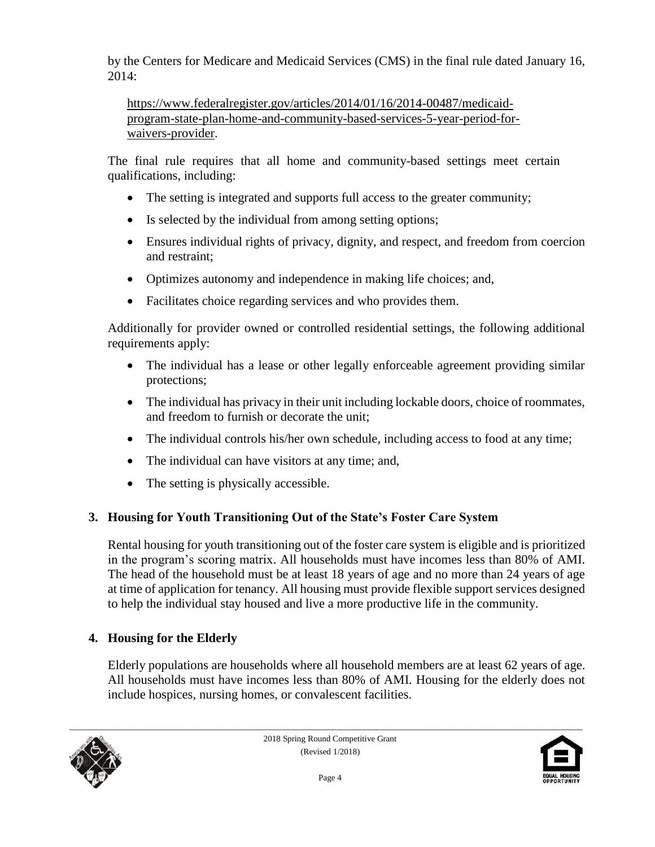by the Centers for Medicare and Medicaid Services (CMS) in the final rule dated January 16, 2014:

[https://www.federalregister.gov/articles/2014/01/16/2014-00487/medicaid](https://www.federalregister.gov/articles/2014/01/16/2014-00487/medicaid-program-state-plan-home-and-community-based-services-5-year-period-for-waivers-provider)[program-state-plan-home-and-community-based-services-5-year-period-for](https://www.federalregister.gov/articles/2014/01/16/2014-00487/medicaid-program-state-plan-home-and-community-based-services-5-year-period-for-waivers-provider)[waivers-provider.](https://www.federalregister.gov/articles/2014/01/16/2014-00487/medicaid-program-state-plan-home-and-community-based-services-5-year-period-for-waivers-provider)

The final rule requires that all home and community-based settings meet certain qualifications, including:

- The setting is integrated and supports full access to the greater community;
- Is selected by the individual from among setting options;
- Ensures individual rights of privacy, dignity, and respect, and freedom from coercion and restraint;
- Optimizes autonomy and independence in making life choices; and,
- Facilitates choice regarding services and who provides them.

Additionally for provider owned or controlled residential settings, the following additional requirements apply:

- The individual has a lease or other legally enforceable agreement providing similar protections;
- The individual has privacy in their unit including lockable doors, choice of roommates, and freedom to furnish or decorate the unit;
- The individual controls his/her own schedule, including access to food at any time;
- The individual can have visitors at any time; and,
- The setting is physically accessible.

# **3. Housing for Youth Transitioning Out of the State's Foster Care System**

Rental housing for youth transitioning out of the foster care system is eligible and is prioritized in the program's scoring matrix. All households must have incomes less than 80% of AMI. The head of the household must be at least 18 years of age and no more than 24 years of age at time of application for tenancy. All housing must provide flexible support services designed to help the individual stay housed and live a more productive life in the community.

# **4. Housing for the Elderly**

Elderly populations are households where all household members are at least 62 years of age. All households must have incomes less than 80% of AMI. Housing for the elderly does not include hospices, nursing homes, or convalescent facilities.



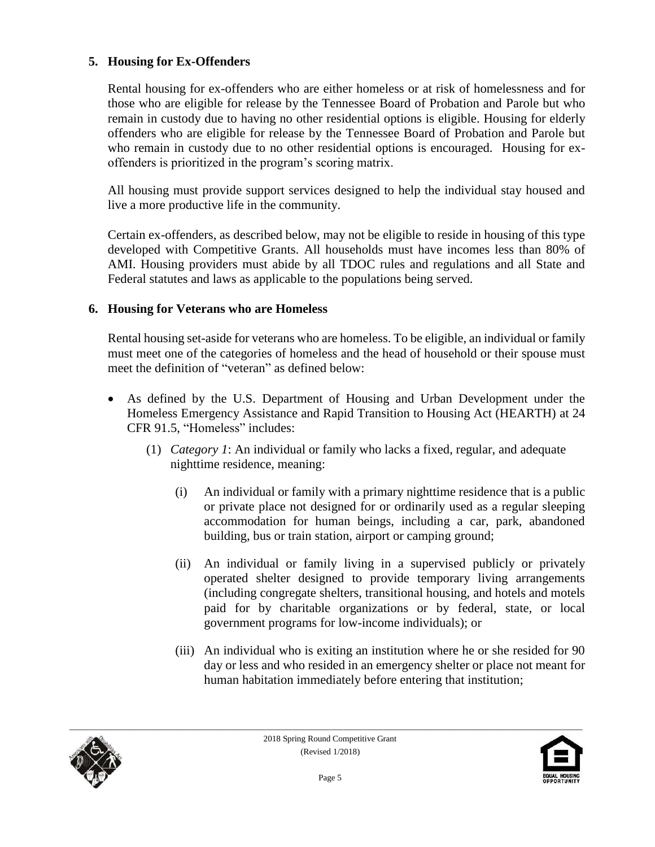#### **5. Housing for Ex-Offenders**

Rental housing for ex-offenders who are either homeless or at risk of homelessness and for those who are eligible for release by the Tennessee Board of Probation and Parole but who remain in custody due to having no other residential options is eligible. Housing for elderly offenders who are eligible for release by the Tennessee Board of Probation and Parole but who remain in custody due to no other residential options is encouraged. Housing for exoffenders is prioritized in the program's scoring matrix.

All housing must provide support services designed to help the individual stay housed and live a more productive life in the community.

Certain ex-offenders, as described below, may not be eligible to reside in housing of this type developed with Competitive Grants. All households must have incomes less than 80% of AMI. Housing providers must abide by all TDOC rules and regulations and all State and Federal statutes and laws as applicable to the populations being served.

#### **6. Housing for Veterans who are Homeless**

Rental housing set-aside for veterans who are homeless. To be eligible, an individual or family must meet one of the categories of homeless and the head of household or their spouse must meet the definition of "veteran" as defined below:

- As defined by the U.S. Department of Housing and Urban Development under the Homeless Emergency Assistance and Rapid Transition to Housing Act (HEARTH) at 24 CFR 91.5, "Homeless" includes:
	- (1) *Category 1*: An individual or family who lacks a fixed, regular, and adequate nighttime residence, meaning:
		- (i) An individual or family with a primary nighttime residence that is a public or private place not designed for or ordinarily used as a regular sleeping accommodation for human beings, including a car, park, abandoned building, bus or train station, airport or camping ground;
		- (ii) An individual or family living in a supervised publicly or privately operated shelter designed to provide temporary living arrangements (including congregate shelters, transitional housing, and hotels and motels paid for by charitable organizations or by federal, state, or local government programs for low-income individuals); or
		- (iii) An individual who is exiting an institution where he or she resided for 90 day or less and who resided in an emergency shelter or place not meant for human habitation immediately before entering that institution;



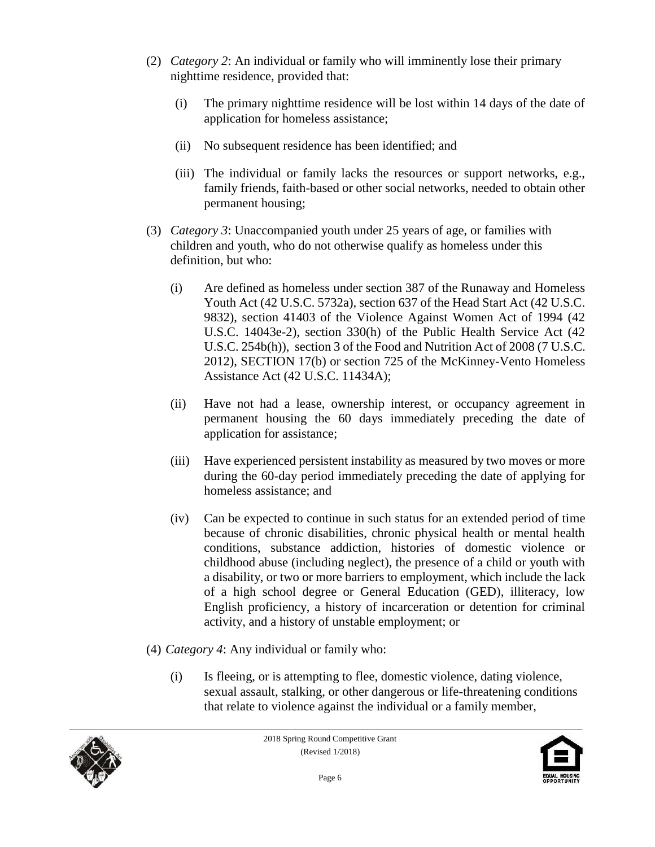- (2) *Category 2*: An individual or family who will imminently lose their primary nighttime residence, provided that:
	- (i) The primary nighttime residence will be lost within 14 days of the date of application for homeless assistance;
	- (ii) No subsequent residence has been identified; and
	- (iii) The individual or family lacks the resources or support networks, e.g., family friends, faith-based or other social networks, needed to obtain other permanent housing;
- (3) *Category 3*: Unaccompanied youth under 25 years of age, or families with children and youth, who do not otherwise qualify as homeless under this definition, but who:
	- (i) Are defined as homeless under section 387 of the Runaway and Homeless Youth Act (42 U.S.C. 5732a), section 637 of the Head Start Act (42 U.S.C. 9832), section 41403 of the Violence Against Women Act of 1994 (42 U.S.C. 14043e-2), section 330(h) of the Public Health Service Act (42 U.S.C. 254b(h)), section 3 of the Food and Nutrition Act of 2008 (7 U.S.C. 2012), SECTION 17(b) or section 725 of the McKinney-Vento Homeless Assistance Act (42 U.S.C. 11434A);
	- (ii) Have not had a lease, ownership interest, or occupancy agreement in permanent housing the 60 days immediately preceding the date of application for assistance;
	- (iii) Have experienced persistent instability as measured by two moves or more during the 60-day period immediately preceding the date of applying for homeless assistance; and
	- (iv) Can be expected to continue in such status for an extended period of time because of chronic disabilities, chronic physical health or mental health conditions, substance addiction, histories of domestic violence or childhood abuse (including neglect), the presence of a child or youth with a disability, or two or more barriers to employment, which include the lack of a high school degree or General Education (GED), illiteracy, low English proficiency, a history of incarceration or detention for criminal activity, and a history of unstable employment; or
- (4) *Category 4*: Any individual or family who:
	- (i) Is fleeing, or is attempting to flee, domestic violence, dating violence, sexual assault, stalking, or other dangerous or life-threatening conditions that relate to violence against the individual or a family member,



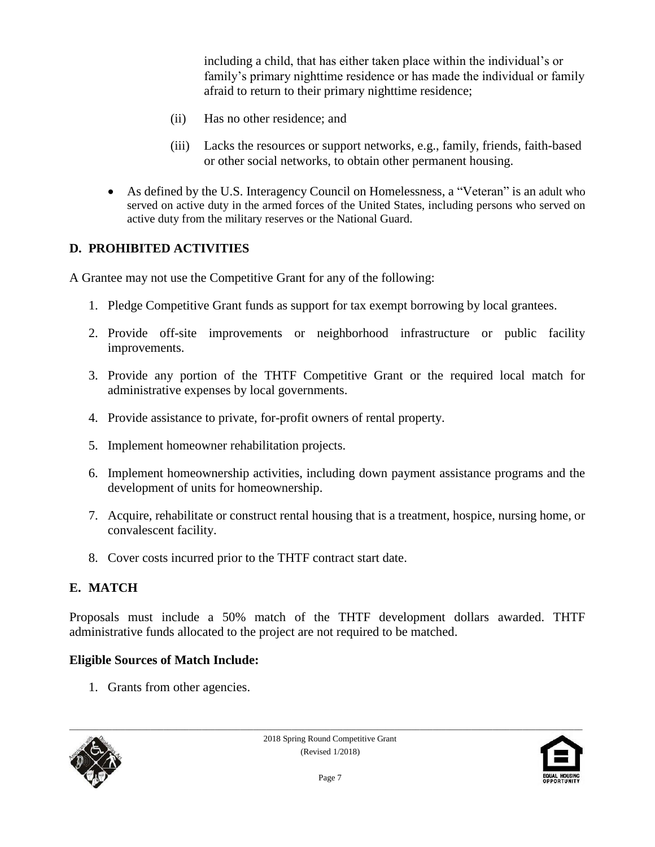including a child, that has either taken place within the individual's or family's primary nighttime residence or has made the individual or family afraid to return to their primary nighttime residence;

- (ii) Has no other residence; and
- (iii) Lacks the resources or support networks, e.g., family, friends, faith-based or other social networks, to obtain other permanent housing.
- As defined by the U.S. Interagency Council on Homelessness, a "Veteran" is an adult who served on active duty in the armed forces of the United States, including persons who served on active duty from the military reserves or the National Guard.

#### **D. PROHIBITED ACTIVITIES**

A Grantee may not use the Competitive Grant for any of the following:

- 1. Pledge Competitive Grant funds as support for tax exempt borrowing by local grantees.
- 2. Provide off-site improvements or neighborhood infrastructure or public facility improvements.
- 3. Provide any portion of the THTF Competitive Grant or the required local match for administrative expenses by local governments.
- 4. Provide assistance to private, for-profit owners of rental property.
- 5. Implement homeowner rehabilitation projects.
- 6. Implement homeownership activities, including down payment assistance programs and the development of units for homeownership.
- 7. Acquire, rehabilitate or construct rental housing that is a treatment, hospice, nursing home, or convalescent facility.
- 8. Cover costs incurred prior to the THTF contract start date.

#### **E. MATCH**

Proposals must include a 50% match of the THTF development dollars awarded. THTF administrative funds allocated to the project are not required to be matched.

#### **Eligible Sources of Match Include:**

1. Grants from other agencies.



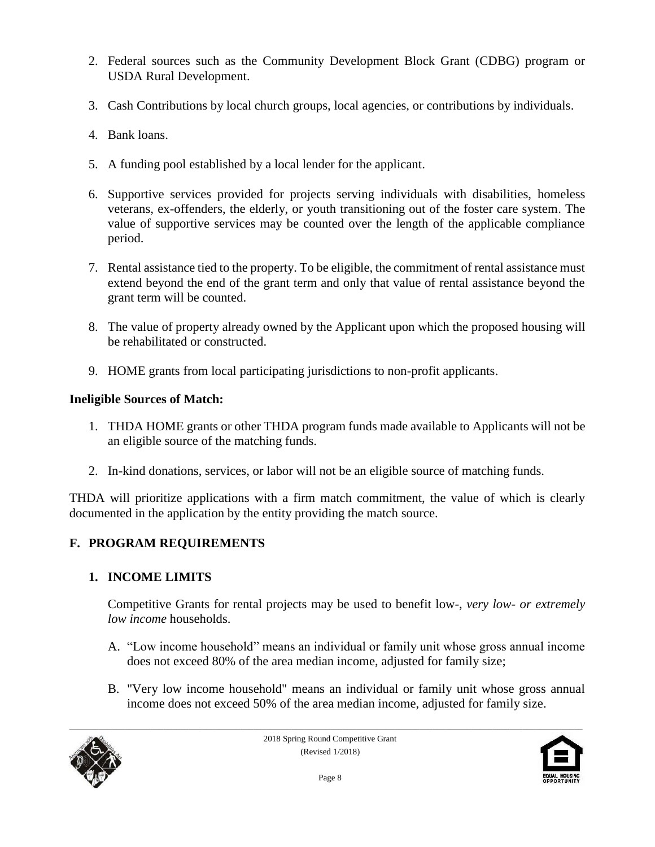- 2. Federal sources such as the Community Development Block Grant (CDBG) program or USDA Rural Development.
- 3. Cash Contributions by local church groups, local agencies, or contributions by individuals.
- 4. Bank loans.
- 5. A funding pool established by a local lender for the applicant.
- 6. Supportive services provided for projects serving individuals with disabilities, homeless veterans, ex-offenders, the elderly, or youth transitioning out of the foster care system. The value of supportive services may be counted over the length of the applicable compliance period.
- 7. Rental assistance tied to the property. To be eligible, the commitment of rental assistance must extend beyond the end of the grant term and only that value of rental assistance beyond the grant term will be counted.
- 8. The value of property already owned by the Applicant upon which the proposed housing will be rehabilitated or constructed.
- 9. HOME grants from local participating jurisdictions to non-profit applicants.

### **Ineligible Sources of Match:**

- 1. THDA HOME grants or other THDA program funds made available to Applicants will not be an eligible source of the matching funds.
- 2. In-kind donations, services, or labor will not be an eligible source of matching funds.

THDA will prioritize applications with a firm match commitment, the value of which is clearly documented in the application by the entity providing the match source.

# **F. PROGRAM REQUIREMENTS**

# **1. INCOME LIMITS**

Competitive Grants for rental projects may be used to benefit low-, *very low- or extremely low income* households.

- A. "Low income household" means an individual or family unit whose gross annual income does not exceed 80% of the area median income, adjusted for family size;
- B. "Very low income household" means an individual or family unit whose gross annual income does not exceed 50% of the area median income, adjusted for family size.



2018 Spring Round Competitive Grant (Revised 1/2018)

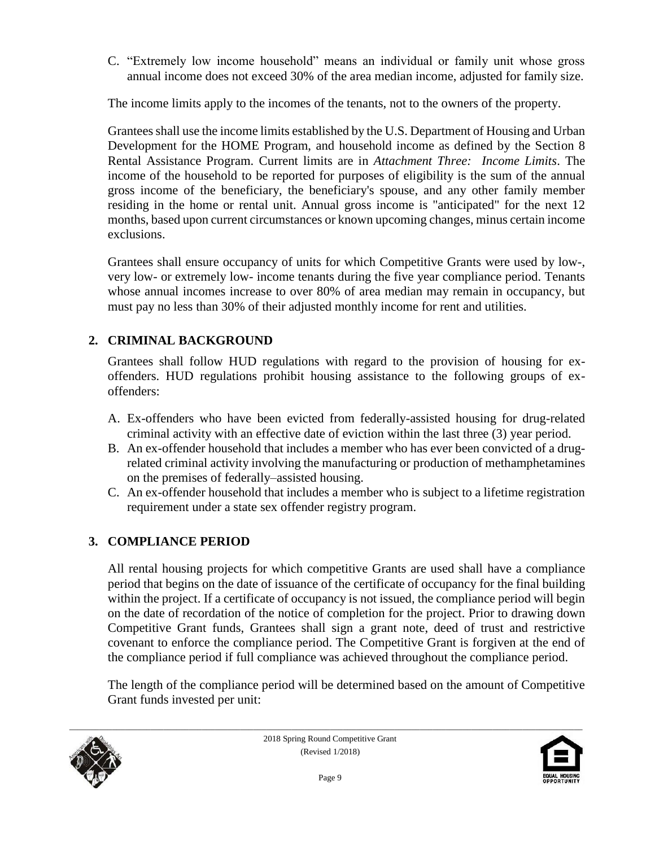C. "Extremely low income household" means an individual or family unit whose gross annual income does not exceed 30% of the area median income, adjusted for family size.

The income limits apply to the incomes of the tenants, not to the owners of the property.

Grantees shall use the income limits established by the U.S. Department of Housing and Urban Development for the HOME Program, and household income as defined by the Section 8 Rental Assistance Program. Current limits are in *Attachment Three: Income Limits*. The income of the household to be reported for purposes of eligibility is the sum of the annual gross income of the beneficiary, the beneficiary's spouse, and any other family member residing in the home or rental unit. Annual gross income is "anticipated" for the next 12 months, based upon current circumstances or known upcoming changes, minus certain income exclusions.

Grantees shall ensure occupancy of units for which Competitive Grants were used by low-, very low- or extremely low- income tenants during the five year compliance period. Tenants whose annual incomes increase to over 80% of area median may remain in occupancy, but must pay no less than 30% of their adjusted monthly income for rent and utilities.

# **2. CRIMINAL BACKGROUND**

Grantees shall follow HUD regulations with regard to the provision of housing for exoffenders. HUD regulations prohibit housing assistance to the following groups of exoffenders:

- A. Ex-offenders who have been evicted from federally-assisted housing for drug-related criminal activity with an effective date of eviction within the last three (3) year period.
- B. An ex-offender household that includes a member who has ever been convicted of a drugrelated criminal activity involving the manufacturing or production of methamphetamines on the premises of federally–assisted housing.
- C. An ex-offender household that includes a member who is subject to a lifetime registration requirement under a state sex offender registry program.

# **3. COMPLIANCE PERIOD**

All rental housing projects for which competitive Grants are used shall have a compliance period that begins on the date of issuance of the certificate of occupancy for the final building within the project. If a certificate of occupancy is not issued, the compliance period will begin on the date of recordation of the notice of completion for the project. Prior to drawing down Competitive Grant funds, Grantees shall sign a grant note, deed of trust and restrictive covenant to enforce the compliance period. The Competitive Grant is forgiven at the end of the compliance period if full compliance was achieved throughout the compliance period.

The length of the compliance period will be determined based on the amount of Competitive Grant funds invested per unit:



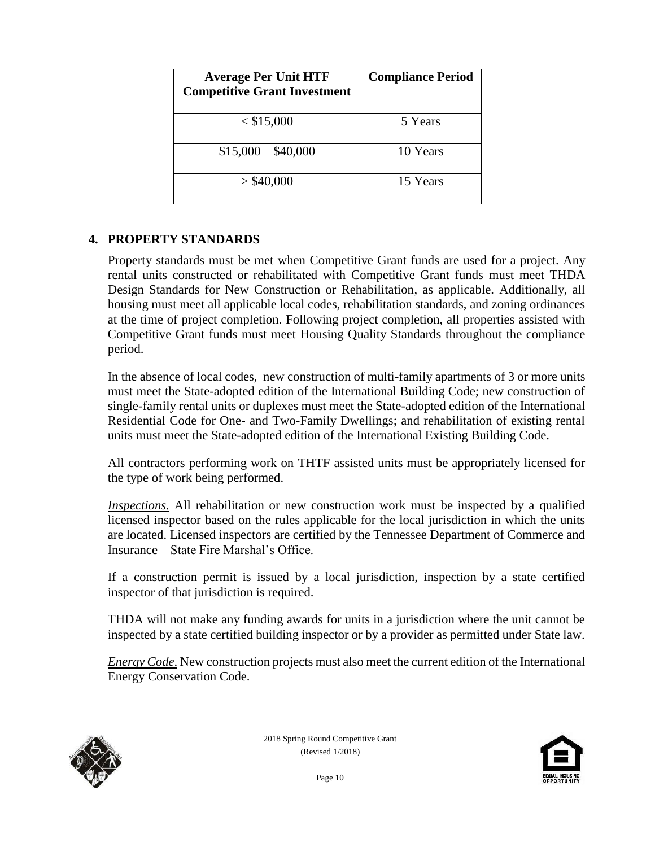| <b>Average Per Unit HTF</b><br><b>Competitive Grant Investment</b> | <b>Compliance Period</b> |
|--------------------------------------------------------------------|--------------------------|
| $<$ \$15,000                                                       | 5 Years                  |
| $$15,000 - $40,000$                                                | 10 Years                 |
| $>$ \$40,000                                                       | 15 Years                 |

#### **4. PROPERTY STANDARDS**

Property standards must be met when Competitive Grant funds are used for a project. Any rental units constructed or rehabilitated with Competitive Grant funds must meet THDA Design Standards for New Construction or Rehabilitation, as applicable. Additionally, all housing must meet all applicable local codes, rehabilitation standards, and zoning ordinances at the time of project completion. Following project completion, all properties assisted with Competitive Grant funds must meet Housing Quality Standards throughout the compliance period.

In the absence of local codes, new construction of multi-family apartments of 3 or more units must meet the State-adopted edition of the International Building Code; new construction of single-family rental units or duplexes must meet the State-adopted edition of the International Residential Code for One- and Two-Family Dwellings; and rehabilitation of existing rental units must meet the State-adopted edition of the International Existing Building Code.

All contractors performing work on THTF assisted units must be appropriately licensed for the type of work being performed.

*Inspections.* All rehabilitation or new construction work must be inspected by a qualified licensed inspector based on the rules applicable for the local jurisdiction in which the units are located. Licensed inspectors are certified by the Tennessee Department of Commerce and Insurance – State Fire Marshal's Office.

If a construction permit is issued by a local jurisdiction, inspection by a state certified inspector of that jurisdiction is required.

THDA will not make any funding awards for units in a jurisdiction where the unit cannot be inspected by a state certified building inspector or by a provider as permitted under State law.

*Energy Code*. New construction projects must also meet the current edition of the International Energy Conservation Code.



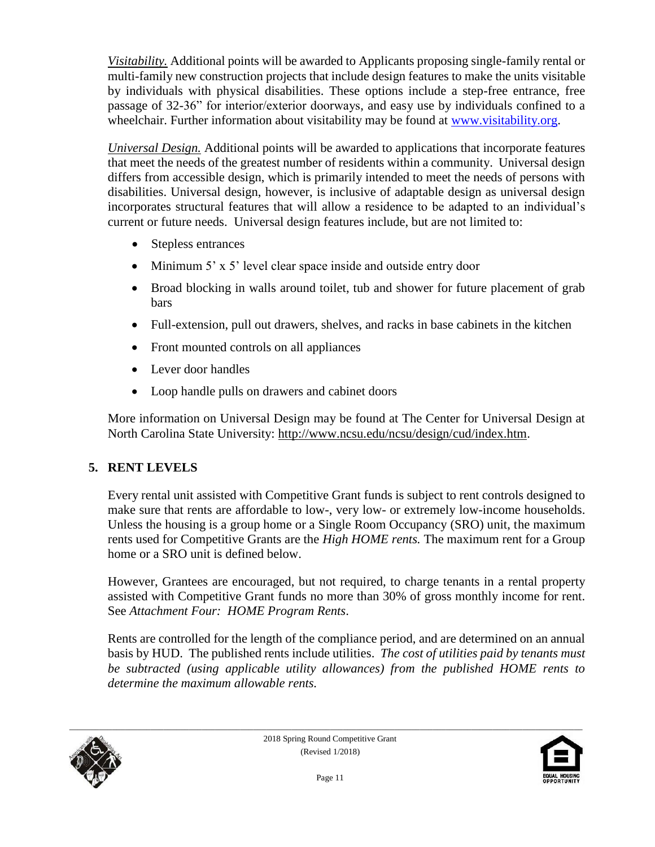*Visitability.* Additional points will be awarded to Applicants proposing single-family rental or multi-family new construction projects that include design features to make the units visitable by individuals with physical disabilities. These options include a step-free entrance, free passage of 32-36" for interior/exterior doorways, and easy use by individuals confined to a wheelchair. Further information about visitability may be found at [www.visitability.org.](http://www.visitability.org/)

*Universal Design.* Additional points will be awarded to applications that incorporate features that meet the needs of the greatest number of residents within a community. Universal design differs from accessible design, which is primarily intended to meet the needs of persons with disabilities. Universal design, however, is inclusive of adaptable design as universal design incorporates structural features that will allow a residence to be adapted to an individual's current or future needs. Universal design features include, but are not limited to:

- Stepless entrances
- Minimum 5' x 5' level clear space inside and outside entry door
- Broad blocking in walls around toilet, tub and shower for future placement of grab bars
- Full-extension, pull out drawers, shelves, and racks in base cabinets in the kitchen
- Front mounted controls on all appliances
- Lever door handles
- Loop handle pulls on drawers and cabinet doors

More information on Universal Design may be found at The Center for Universal Design at North Carolina State University: [http://www.ncsu.edu/ncsu/design/cud/index.htm.](http://www.ncsu.edu/ncsu/design/cud/index.htm)

# **5. RENT LEVELS**

Every rental unit assisted with Competitive Grant funds is subject to rent controls designed to make sure that rents are affordable to low-, very low- or extremely low-income households. Unless the housing is a group home or a Single Room Occupancy (SRO) unit, the maximum rents used for Competitive Grants are the *High HOME rents.* The maximum rent for a Group home or a SRO unit is defined below.

However, Grantees are encouraged, but not required, to charge tenants in a rental property assisted with Competitive Grant funds no more than 30% of gross monthly income for rent. See *Attachment Four: HOME Program Rents*.

Rents are controlled for the length of the compliance period, and are determined on an annual basis by HUD. The published rents include utilities. *The cost of utilities paid by tenants must be subtracted (using applicable utility allowances) from the published HOME rents to determine the maximum allowable rents.*



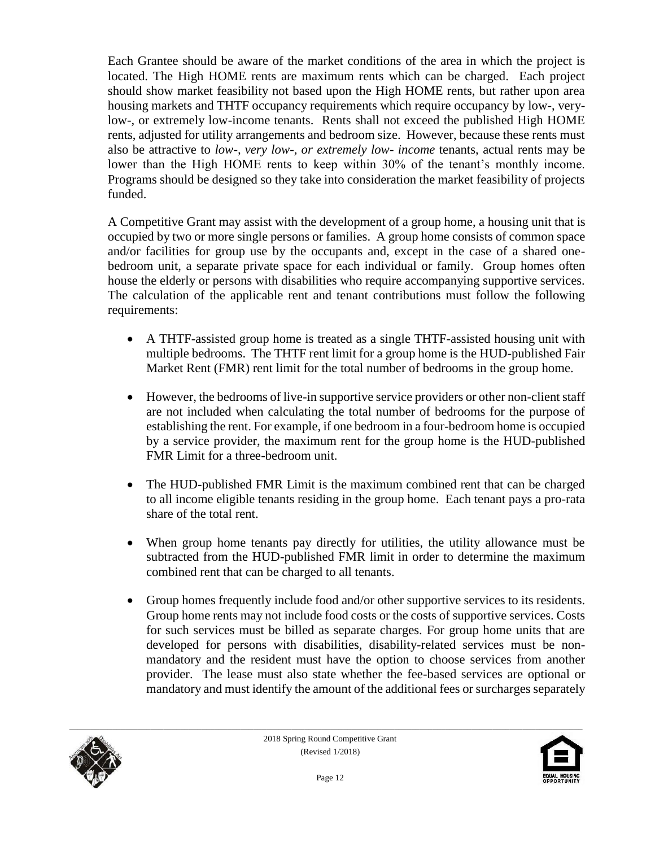Each Grantee should be aware of the market conditions of the area in which the project is located. The High HOME rents are maximum rents which can be charged. Each project should show market feasibility not based upon the High HOME rents, but rather upon area housing markets and THTF occupancy requirements which require occupancy by low-, verylow-, or extremely low-income tenants. Rents shall not exceed the published High HOME rents, adjusted for utility arrangements and bedroom size. However, because these rents must also be attractive to *low-, very low-, or extremely low- income* tenants, actual rents may be lower than the High HOME rents to keep within 30% of the tenant's monthly income. Programs should be designed so they take into consideration the market feasibility of projects funded.

A Competitive Grant may assist with the development of a group home, a housing unit that is occupied by two or more single persons or families. A group home consists of common space and/or facilities for group use by the occupants and, except in the case of a shared onebedroom unit, a separate private space for each individual or family. Group homes often house the elderly or persons with disabilities who require accompanying supportive services. The calculation of the applicable rent and tenant contributions must follow the following requirements:

- A THTF-assisted group home is treated as a single THTF-assisted housing unit with multiple bedrooms. The THTF rent limit for a group home is the HUD-published Fair Market Rent (FMR) rent limit for the total number of bedrooms in the group home.
- However, the bedrooms of live-in supportive service providers or other non-client staff are not included when calculating the total number of bedrooms for the purpose of establishing the rent. For example, if one bedroom in a four-bedroom home is occupied by a service provider, the maximum rent for the group home is the HUD-published FMR Limit for a three-bedroom unit.
- The HUD-published FMR Limit is the maximum combined rent that can be charged to all income eligible tenants residing in the group home. Each tenant pays a pro-rata share of the total rent.
- When group home tenants pay directly for utilities, the utility allowance must be subtracted from the HUD-published FMR limit in order to determine the maximum combined rent that can be charged to all tenants.
- Group homes frequently include food and/or other supportive services to its residents. Group home rents may not include food costs or the costs of supportive services. Costs for such services must be billed as separate charges. For group home units that are developed for persons with disabilities, disability-related services must be nonmandatory and the resident must have the option to choose services from another provider. The lease must also state whether the fee-based services are optional or mandatory and must identify the amount of the additional fees or surcharges separately



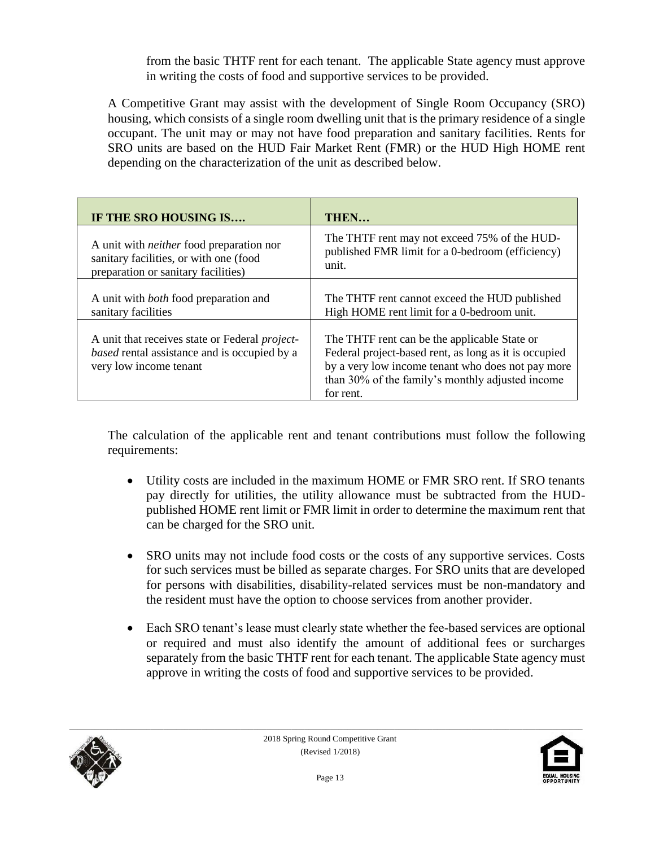from the basic THTF rent for each tenant. The applicable State agency must approve in writing the costs of food and supportive services to be provided.

A Competitive Grant may assist with the development of Single Room Occupancy (SRO) housing, which consists of a single room dwelling unit that is the primary residence of a single occupant. The unit may or may not have food preparation and sanitary facilities. Rents for SRO units are based on the HUD Fair Market Rent (FMR) or the HUD High HOME rent depending on the characterization of the unit as described below.

| IF THE SRO HOUSING IS                                                                                                                   | THEN                                                                                                                                                                                                                        |
|-----------------------------------------------------------------------------------------------------------------------------------------|-----------------------------------------------------------------------------------------------------------------------------------------------------------------------------------------------------------------------------|
| A unit with <i>neither</i> food preparation nor                                                                                         | The THTF rent may not exceed 75% of the HUD-                                                                                                                                                                                |
| sanitary facilities, or with one (food                                                                                                  | published FMR limit for a 0-bedroom (efficiency)                                                                                                                                                                            |
| preparation or sanitary facilities)                                                                                                     | unit.                                                                                                                                                                                                                       |
| A unit with <i>both</i> food preparation and                                                                                            | The THTF rent cannot exceed the HUD published                                                                                                                                                                               |
| sanitary facilities                                                                                                                     | High HOME rent limit for a 0-bedroom unit.                                                                                                                                                                                  |
| A unit that receives state or Federal <i>project</i> -<br><i>based</i> rental assistance and is occupied by a<br>very low income tenant | The THTF rent can be the applicable State or<br>Federal project-based rent, as long as it is occupied<br>by a very low income tenant who does not pay more<br>than 30% of the family's monthly adjusted income<br>for rent. |

The calculation of the applicable rent and tenant contributions must follow the following requirements:

- Utility costs are included in the maximum HOME or FMR SRO rent. If SRO tenants pay directly for utilities, the utility allowance must be subtracted from the HUDpublished HOME rent limit or FMR limit in order to determine the maximum rent that can be charged for the SRO unit.
- SRO units may not include food costs or the costs of any supportive services. Costs for such services must be billed as separate charges. For SRO units that are developed for persons with disabilities, disability-related services must be non-mandatory and the resident must have the option to choose services from another provider.
- Each SRO tenant's lease must clearly state whether the fee-based services are optional or required and must also identify the amount of additional fees or surcharges separately from the basic THTF rent for each tenant. The applicable State agency must approve in writing the costs of food and supportive services to be provided.



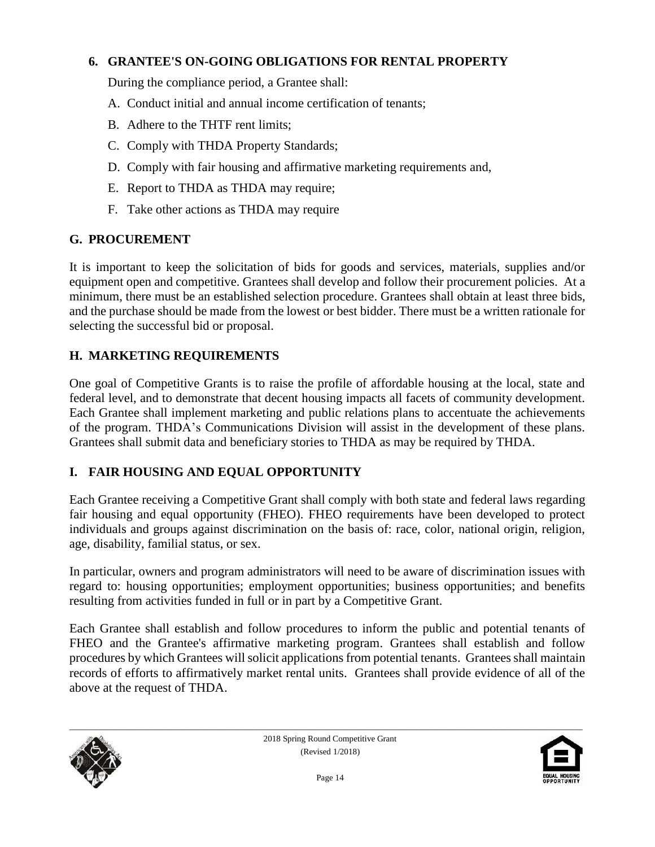#### **6. GRANTEE'S ON-GOING OBLIGATIONS FOR RENTAL PROPERTY**

During the compliance period, a Grantee shall:

- A. Conduct initial and annual income certification of tenants;
- B. Adhere to the THTF rent limits;
- C. Comply with THDA Property Standards;
- D. Comply with fair housing and affirmative marketing requirements and,
- E. Report to THDA as THDA may require;
- F. Take other actions as THDA may require

#### **G. PROCUREMENT**

It is important to keep the solicitation of bids for goods and services, materials, supplies and/or equipment open and competitive. Grantees shall develop and follow their procurement policies. At a minimum, there must be an established selection procedure. Grantees shall obtain at least three bids, and the purchase should be made from the lowest or best bidder. There must be a written rationale for selecting the successful bid or proposal.

### **H. MARKETING REQUIREMENTS**

One goal of Competitive Grants is to raise the profile of affordable housing at the local, state and federal level, and to demonstrate that decent housing impacts all facets of community development. Each Grantee shall implement marketing and public relations plans to accentuate the achievements of the program. THDA's Communications Division will assist in the development of these plans. Grantees shall submit data and beneficiary stories to THDA as may be required by THDA.

### **I. FAIR HOUSING AND EQUAL OPPORTUNITY**

Each Grantee receiving a Competitive Grant shall comply with both state and federal laws regarding fair housing and equal opportunity (FHEO). FHEO requirements have been developed to protect individuals and groups against discrimination on the basis of: race, color, national origin, religion, age, disability, familial status, or sex.

In particular, owners and program administrators will need to be aware of discrimination issues with regard to: housing opportunities; employment opportunities; business opportunities; and benefits resulting from activities funded in full or in part by a Competitive Grant.

Each Grantee shall establish and follow procedures to inform the public and potential tenants of FHEO and the Grantee's affirmative marketing program. Grantees shall establish and follow procedures by which Grantees will solicit applications from potential tenants. Grantees shall maintain records of efforts to affirmatively market rental units. Grantees shall provide evidence of all of the above at the request of THDA.



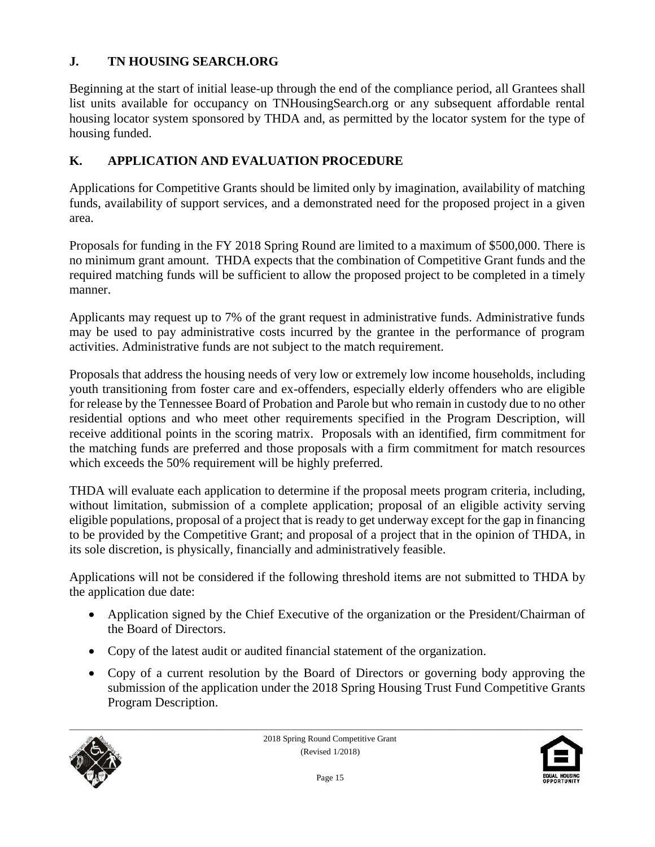### **J. TN HOUSING SEARCH.ORG**

Beginning at the start of initial lease-up through the end of the compliance period, all Grantees shall list units available for occupancy on TNHousingSearch.org or any subsequent affordable rental housing locator system sponsored by THDA and, as permitted by the locator system for the type of housing funded.

### **K. APPLICATION AND EVALUATION PROCEDURE**

Applications for Competitive Grants should be limited only by imagination, availability of matching funds, availability of support services, and a demonstrated need for the proposed project in a given area.

Proposals for funding in the FY 2018 Spring Round are limited to a maximum of \$500,000. There is no minimum grant amount. THDA expects that the combination of Competitive Grant funds and the required matching funds will be sufficient to allow the proposed project to be completed in a timely manner.

Applicants may request up to 7% of the grant request in administrative funds. Administrative funds may be used to pay administrative costs incurred by the grantee in the performance of program activities. Administrative funds are not subject to the match requirement.

Proposals that address the housing needs of very low or extremely low income households, including youth transitioning from foster care and ex-offenders, especially elderly offenders who are eligible for release by the Tennessee Board of Probation and Parole but who remain in custody due to no other residential options and who meet other requirements specified in the Program Description, will receive additional points in the scoring matrix. Proposals with an identified, firm commitment for the matching funds are preferred and those proposals with a firm commitment for match resources which exceeds the 50% requirement will be highly preferred.

THDA will evaluate each application to determine if the proposal meets program criteria, including, without limitation, submission of a complete application; proposal of an eligible activity serving eligible populations, proposal of a project that is ready to get underway except for the gap in financing to be provided by the Competitive Grant; and proposal of a project that in the opinion of THDA, in its sole discretion, is physically, financially and administratively feasible.

Applications will not be considered if the following threshold items are not submitted to THDA by the application due date:

- Application signed by the Chief Executive of the organization or the President/Chairman of the Board of Directors.
- Copy of the latest audit or audited financial statement of the organization.
- Copy of a current resolution by the Board of Directors or governing body approving the submission of the application under the 2018 Spring Housing Trust Fund Competitive Grants Program Description.



2018 Spring Round Competitive Grant (Revised 1/2018)

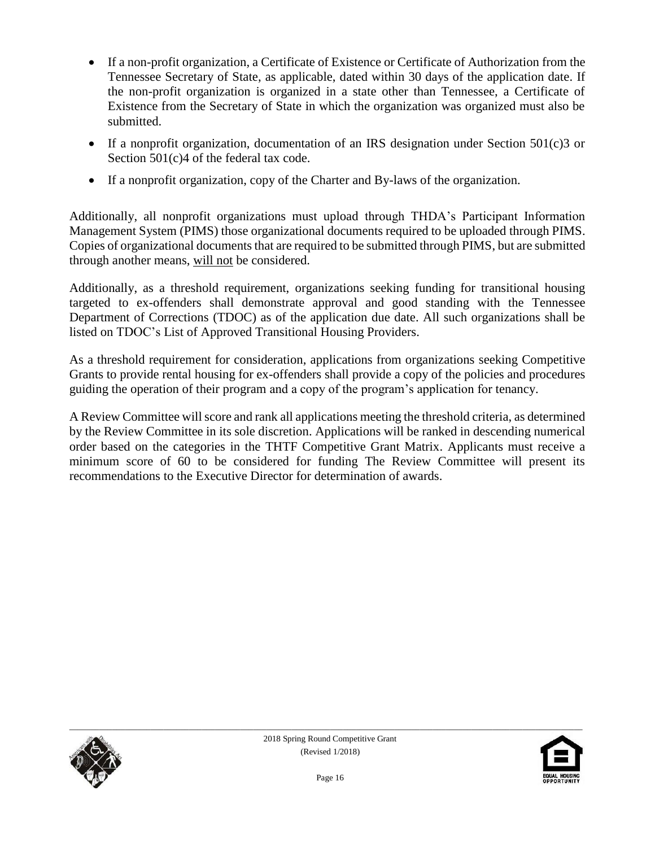- If a non-profit organization, a Certificate of Existence or Certificate of Authorization from the Tennessee Secretary of State, as applicable, dated within 30 days of the application date. If the non-profit organization is organized in a state other than Tennessee, a Certificate of Existence from the Secretary of State in which the organization was organized must also be submitted.
- If a nonprofit organization, documentation of an IRS designation under Section  $501(c)3$  or Section 501(c)4 of the federal tax code.
- If a nonprofit organization, copy of the Charter and By-laws of the organization.

Additionally, all nonprofit organizations must upload through THDA's Participant Information Management System (PIMS) those organizational documents required to be uploaded through PIMS. Copies of organizational documents that are required to be submitted through PIMS, but are submitted through another means, will not be considered.

Additionally, as a threshold requirement, organizations seeking funding for transitional housing targeted to ex-offenders shall demonstrate approval and good standing with the Tennessee Department of Corrections (TDOC) as of the application due date. All such organizations shall be listed on TDOC's List of Approved Transitional Housing Providers.

As a threshold requirement for consideration, applications from organizations seeking Competitive Grants to provide rental housing for ex-offenders shall provide a copy of the policies and procedures guiding the operation of their program and a copy of the program's application for tenancy.

A Review Committee will score and rank all applications meeting the threshold criteria, as determined by the Review Committee in its sole discretion. Applications will be ranked in descending numerical order based on the categories in the THTF Competitive Grant Matrix. Applicants must receive a minimum score of 60 to be considered for funding The Review Committee will present its recommendations to the Executive Director for determination of awards.



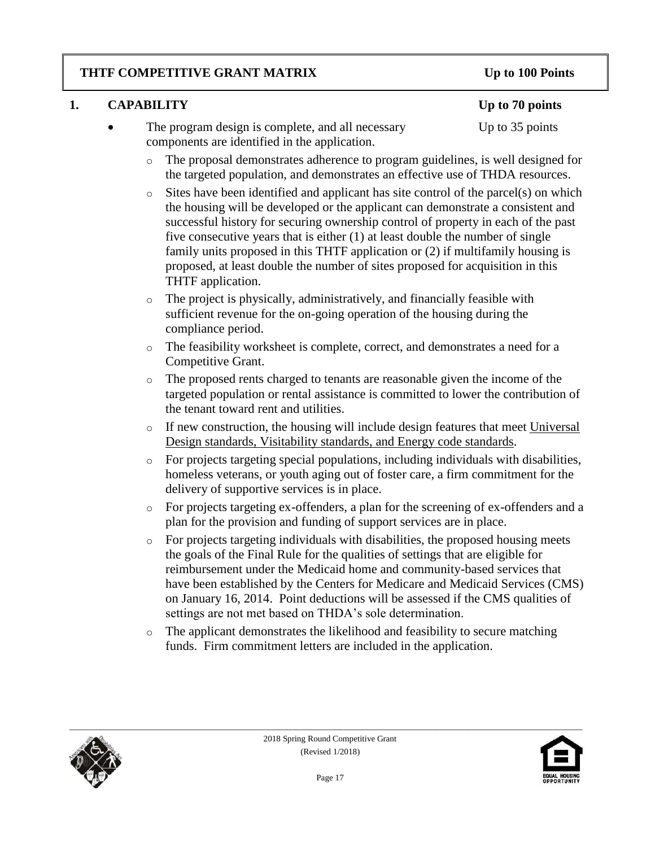### **THTF COMPETITIVE GRANT MATRIX Up to 100 Points**

### **1. CAPABILITY Up to 70 points**

- The program design is complete, and all necessary Up to 35 points components are identified in the application.
	- o The proposal demonstrates adherence to program guidelines, is well designed for the targeted population, and demonstrates an effective use of THDA resources.
	- o Sites have been identified and applicant has site control of the parcel(s) on which the housing will be developed or the applicant can demonstrate a consistent and successful history for securing ownership control of property in each of the past five consecutive years that is either (1) at least double the number of single family units proposed in this THTF application or (2) if multifamily housing is proposed, at least double the number of sites proposed for acquisition in this THTF application.
	- o The project is physically, administratively, and financially feasible with sufficient revenue for the on-going operation of the housing during the compliance period.
	- o The feasibility worksheet is complete, correct, and demonstrates a need for a Competitive Grant.
	- o The proposed rents charged to tenants are reasonable given the income of the targeted population or rental assistance is committed to lower the contribution of the tenant toward rent and utilities.
	- o If new construction, the housing will include design features that meet Universal Design standards, Visitability standards, and Energy code standards.
	- o For projects targeting special populations, including individuals with disabilities, homeless veterans, or youth aging out of foster care, a firm commitment for the delivery of supportive services is in place.
	- o For projects targeting ex-offenders, a plan for the screening of ex-offenders and a plan for the provision and funding of support services are in place.
	- o For projects targeting individuals with disabilities, the proposed housing meets the goals of the Final Rule for the qualities of settings that are eligible for reimbursement under the Medicaid home and community-based services that have been established by the Centers for Medicare and Medicaid Services (CMS) on January 16, 2014. Point deductions will be assessed if the CMS qualities of settings are not met based on THDA's sole determination.
	- o The applicant demonstrates the likelihood and feasibility to secure matching funds. Firm commitment letters are included in the application.



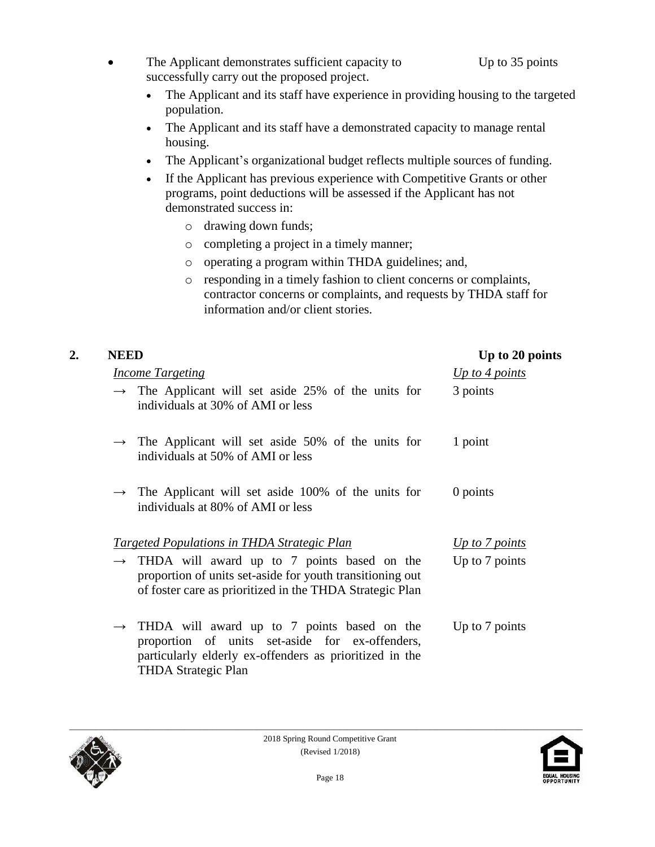- The Applicant demonstrates sufficient capacity to Up to 35 points successfully carry out the proposed project.
	- The Applicant and its staff have experience in providing housing to the targeted population.
	- The Applicant and its staff have a demonstrated capacity to manage rental housing.
	- The Applicant's organizational budget reflects multiple sources of funding.
	- If the Applicant has previous experience with Competitive Grants or other programs, point deductions will be assessed if the Applicant has not demonstrated success in:
		- o drawing down funds;
		- o completing a project in a timely manner;
		- o operating a program within THDA guidelines; and,
		- o responding in a timely fashion to client concerns or complaints, contractor concerns or complaints, and requests by THDA staff for information and/or client stories.

| 2. | <b>NEED</b>                                                                                                                                                                                           | Up to 20 points  |
|----|-------------------------------------------------------------------------------------------------------------------------------------------------------------------------------------------------------|------------------|
|    | <b>Income Targeting</b>                                                                                                                                                                               | $Up$ to 4 points |
|    | $\rightarrow$ The Applicant will set aside 25% of the units for<br>individuals at 30% of AMI or less                                                                                                  | 3 points         |
|    | $\rightarrow$ The Applicant will set aside 50% of the units for<br>individuals at 50% of AMI or less                                                                                                  | 1 point          |
|    | $\rightarrow$ The Applicant will set aside 100% of the units for<br>individuals at 80% of AMI or less                                                                                                 | 0 points         |
|    | <b>Targeted Populations in THDA Strategic Plan</b>                                                                                                                                                    | Up to 7 points   |
|    | THDA will award up to 7 points based on the<br>$\rightarrow$<br>proportion of units set-aside for youth transitioning out<br>of foster care as prioritized in the THDA Strategic Plan                 | Up to 7 points   |
|    | $\rightarrow$ THDA will award up to 7 points based on the<br>proportion of units set-aside for ex-offenders,<br>particularly elderly ex-offenders as prioritized in the<br><b>THDA Strategic Plan</b> | Up to 7 points   |